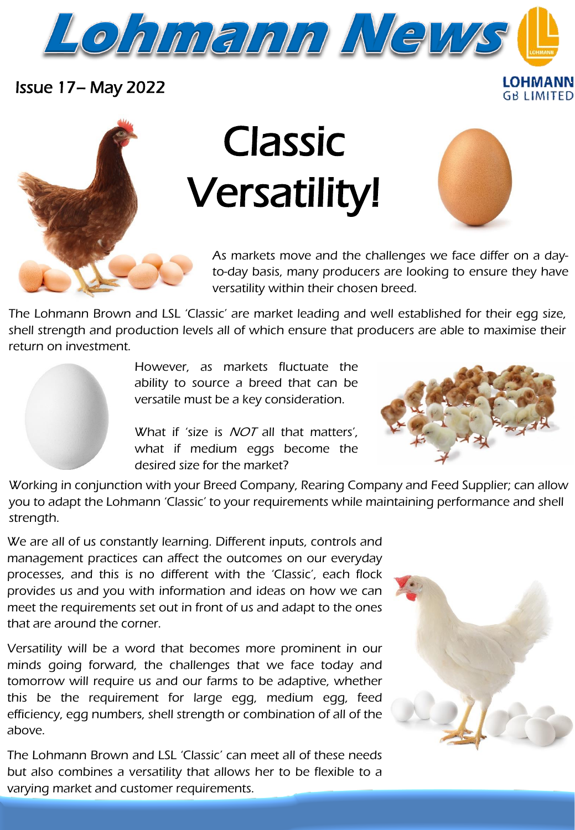

Issue 17– May 2022

## Classic Versatility!



LOHMANN **GB LIMITED** 

As markets move and the challenges we face differ on a dayto-day basis, many producers are looking to ensure they have versatility within their chosen breed.

The Lohmann Brown and LSL 'Classic' are market leading and well established for their egg size, shell strength and production levels all of which ensure that producers are able to maximise their return on investment.

> However, as markets fluctuate the ability to source a breed that can be versatile must be a key consideration.

> What if 'size is *NOT* all that matters', what if medium eggs become the desired size for the market?



Working in conjunction with your Breed Company, Rearing Company and Feed Supplier; can allow you to adapt the Lohmann 'Classic' to your requirements while maintaining performance and shell strength.

We are all of us constantly learning. Different inputs, controls and management practices can affect the outcomes on our everyday processes, and this is no different with the 'Classic', each flock provides us and you with information and ideas on how we can meet the requirements set out in front of us and adapt to the ones that are around the corner.

Versatility will be a word that becomes more prominent in our minds going forward, the challenges that we face today and tomorrow will require us and our farms to be adaptive, whether this be the requirement for large egg, medium egg, feed efficiency, egg numbers, shell strength or combination of all of the above.

varying market and customer requirements. The Lohmann Brown and LSL 'Classic' can meet all of these needs but also combines a versatility that allows her to be flexible to a